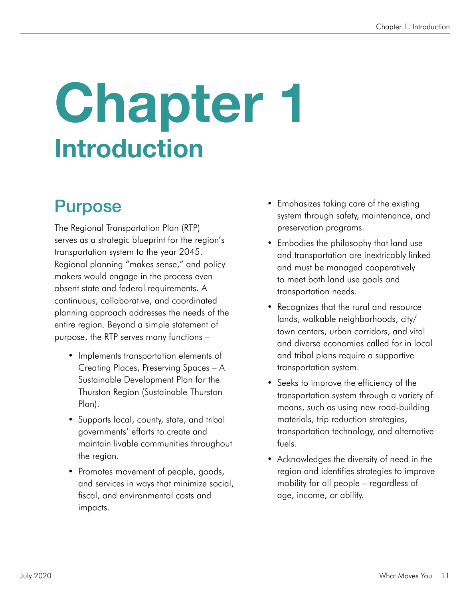## Chapter 1 Introduction

#### Purpose

The Regional Transportation Plan (RTP) serves as a strategic blueprint for the region's transportation system to the year 2045. Regional planning "makes sense," and policy makers would engage in the process even absent state and federal requirements. A continuous, collaborative, and coordinated planning approach addresses the needs of the entire region. Beyond a simple statement of purpose, the RTP serves many functions –

- Implements transportation elements of Creating Places, Preserving Spaces – A Sustainable Development Plan for the Thurston Region (Sustainable Thurston Plan).
- Supports local, county, state, and tribal governments' efforts to create and maintain livable communities throughout the region.
- Promotes movement of people, goods, and services in ways that minimize social, fiscal, and environmental costs and impacts.
- Emphasizes taking care of the existing system through safety, maintenance, and preservation programs.
- Embodies the philosophy that land use and transportation are inextricably linked and must be managed cooperatively to meet both land use goals and transportation needs.
- Recognizes that the rural and resource lands, walkable neighborhoods, city/ town centers, urban corridors, and vital and diverse economies called for in local and tribal plans require a supportive transportation system.
- Seeks to improve the efficiency of the transportation system through a variety of means, such as using new road-building materials, trip reduction strategies, transportation technology, and alternative fuels.
- Acknowledges the diversity of need in the region and identifies strategies to improve mobility for all people – regardless of age, income, or ability.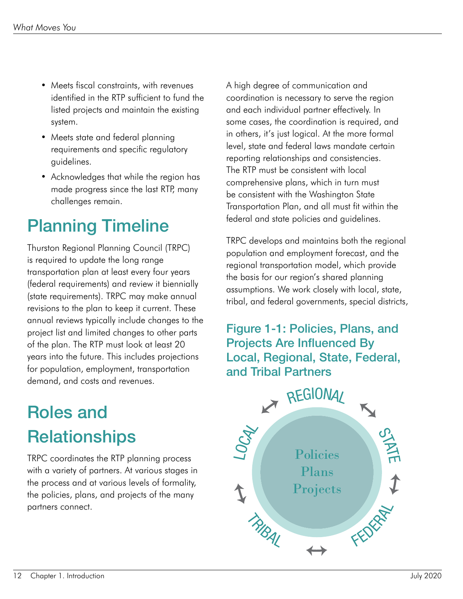- Meets fiscal constraints, with revenues identified in the RTP sufficient to fund the listed projects and maintain the existing system.
- Meets state and federal planning requirements and specific regulatory guidelines.
- Acknowledges that while the region has made progress since the last RTP, many challenges remain.

### Planning Timeline

Thurston Regional Planning Council (TRPC) is required to update the long range transportation plan at least every four years (federal requirements) and review it biennially (state requirements). TRPC may make annual revisions to the plan to keep it current. These annual reviews typically include changes to the project list and limited changes to other parts of the plan. The RTP must look at least 20 years into the future. This includes projections for population, employment, transportation demand, and costs and revenues.

#### Roles and **Relationships**

TRPC coordinates the RTP planning process with a variety of partners. At various stages in the process and at various levels of formality, the policies, plans, and projects of the many partners connect.

A high degree of communication and coordination is necessary to serve the region and each individual partner effectively. In some cases, the coordination is required, and in others, it's just logical. At the more formal level, state and federal laws mandate certain reporting relationships and consistencies. The RTP must be consistent with local comprehensive plans, which in turn must be consistent with the Washington State Transportation Plan, and all must fit within the federal and state policies and guidelines.

TRPC develops and maintains both the regional population and employment forecast, and the regional transportation model, which provide the basis for our region's shared planning assumptions. We work closely with local, state, tribal, and federal governments, special districts,

#### Figure 1-1: Policies, Plans, and Projects Are Influenced By Local, Regional, State, Federal, and Tribal Partners

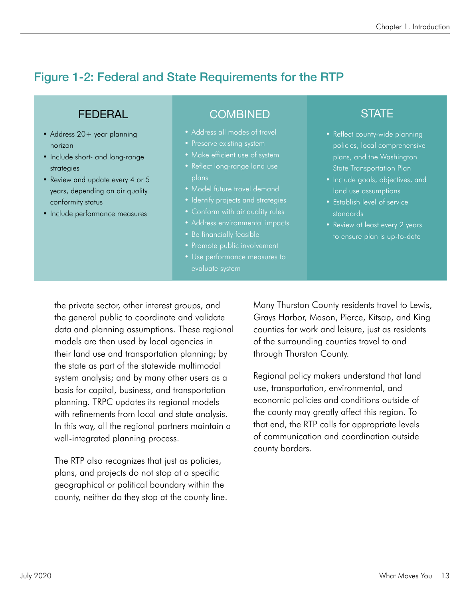#### Figure 1-2: Federal and State Requirements for the RTP

#### FEDERAL

- Address 20+ year planning horizon
- Include short- and long-range strategies
- Review and update every 4 or 5 years, depending on air quality conformity status
- Include performance measures

#### COMBINED STATE

- Address all modes of travel
- 
- Make efficient use of system
- Reflect long-range land use plans
- Model future travel demand
- Identify projects and strategies
- 
- Address environmental impacts
- Be financially feasible
- Promote public involvement
- 

- Reflect county-wide planning policies, local comprehensive plans, and the Washington State Transportation Plan
- Include goals, objectives, and land use assumptions
- Establish level of service standards
- Review at least every 2 years

the private sector, other interest groups, and the general public to coordinate and validate data and planning assumptions. These regional models are then used by local agencies in their land use and transportation planning; by the state as part of the statewide multimodal system analysis; and by many other users as a basis for capital, business, and transportation planning. TRPC updates its regional models with refinements from local and state analysis. In this way, all the regional partners maintain a well-integrated planning process.

The RTP also recognizes that just as policies, plans, and projects do not stop at a specific geographical or political boundary within the county, neither do they stop at the county line. Many Thurston County residents travel to Lewis, Grays Harbor, Mason, Pierce, Kitsap, and King counties for work and leisure, just as residents of the surrounding counties travel to and through Thurston County.

Regional policy makers understand that land use, transportation, environmental, and economic policies and conditions outside of the county may greatly affect this region. To that end, the RTP calls for appropriate levels of communication and coordination outside county borders.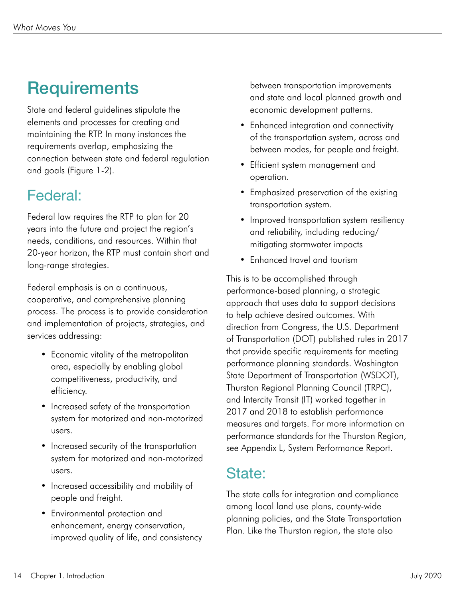#### **Requirements**

State and federal guidelines stipulate the elements and processes for creating and maintaining the RTP. In many instances the requirements overlap, emphasizing the connection between state and federal regulation and goals (Figure 1-2).

#### Federal:

Federal law requires the RTP to plan for 20 years into the future and project the region's needs, conditions, and resources. Within that 20-year horizon, the RTP must contain short and long-range strategies.

Federal emphasis is on a continuous, cooperative, and comprehensive planning process. The process is to provide consideration and implementation of projects, strategies, and services addressing:

- Economic vitality of the metropolitan area, especially by enabling global competitiveness, productivity, and efficiency.
- Increased safety of the transportation system for motorized and non-motorized users.
- Increased security of the transportation system for motorized and non-motorized users.
- Increased accessibility and mobility of people and freight.
- Environmental protection and enhancement, energy conservation, improved quality of life, and consistency

between transportation improvements and state and local planned growth and economic development patterns.

- Enhanced integration and connectivity of the transportation system, across and between modes, for people and freight.
- Efficient system management and operation.
- Emphasized preservation of the existing transportation system.
- Improved transportation system resiliency and reliability, including reducing/ mitigating stormwater impacts
- Enhanced travel and tourism

This is to be accomplished through performance-based planning, a strategic approach that uses data to support decisions to help achieve desired outcomes. With direction from Congress, the U.S. Department of Transportation (DOT) published rules in 2017 that provide specific requirements for meeting performance planning standards. Washington State Department of Transportation (WSDOT), Thurston Regional Planning Council (TRPC), and Intercity Transit (IT) worked together in 2017 and 2018 to establish performance measures and targets. For more information on performance standards for the Thurston Region, see Appendix L, System Performance Report.

#### State:

The state calls for integration and compliance among local land use plans, county-wide planning policies, and the State Transportation Plan. Like the Thurston region, the state also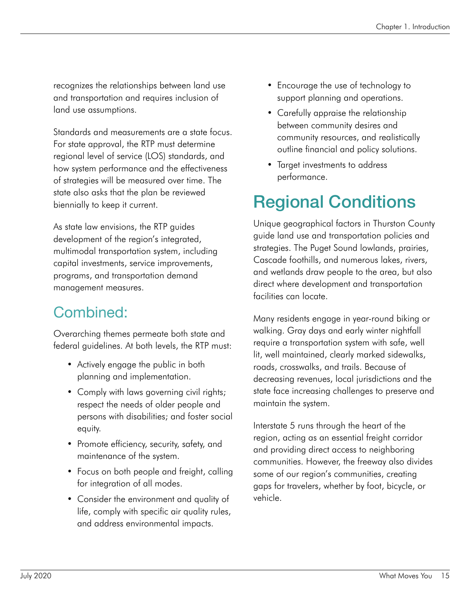recognizes the relationships between land use and transportation and requires inclusion of land use assumptions.

Standards and measurements are a state focus. For state approval, the RTP must determine regional level of service (LOS) standards, and how system performance and the effectiveness of strategies will be measured over time. The state also asks that the plan be reviewed biennially to keep it current.

As state law envisions, the RTP guides development of the region's integrated, multimodal transportation system, including capital investments, service improvements, programs, and transportation demand management measures.

#### Combined:

Overarching themes permeate both state and federal guidelines. At both levels, the RTP must:

- Actively engage the public in both planning and implementation.
- Comply with laws governing civil rights; respect the needs of older people and persons with disabilities; and foster social equity.
- Promote efficiency, security, safety, and maintenance of the system.
- Focus on both people and freight, calling for integration of all modes.
- Consider the environment and quality of life, comply with specific air quality rules, and address environmental impacts.
- Encourage the use of technology to support planning and operations.
- Carefully appraise the relationship between community desires and community resources, and realistically outline financial and policy solutions.
- Target investments to address performance.

#### Regional Conditions

Unique geographical factors in Thurston County guide land use and transportation policies and strategies. The Puget Sound lowlands, prairies, Cascade foothills, and numerous lakes, rivers, and wetlands draw people to the area, but also direct where development and transportation facilities can locate.

Many residents engage in year-round biking or walking. Gray days and early winter nightfall require a transportation system with safe, well lit, well maintained, clearly marked sidewalks, roads, crosswalks, and trails. Because of decreasing revenues, local jurisdictions and the state face increasing challenges to preserve and maintain the system.

Interstate 5 runs through the heart of the region, acting as an essential freight corridor and providing direct access to neighboring communities. However, the freeway also divides some of our region's communities, creating gaps for travelers, whether by foot, bicycle, or vehicle.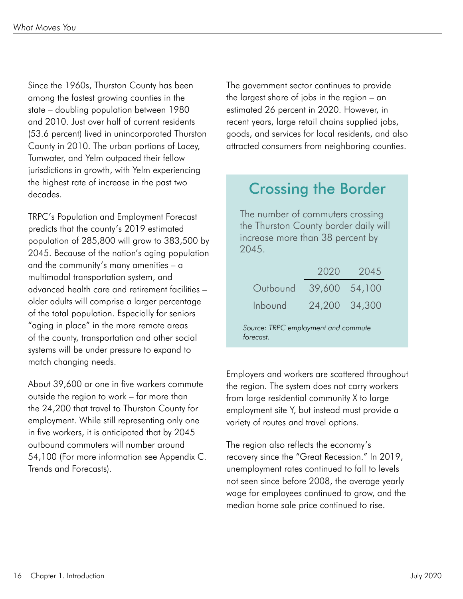Since the 1960s, Thurston County has been among the fastest growing counties in the state – doubling population between 1980 and 2010. Just over half of current residents (53.6 percent) lived in unincorporated Thurston County in 2010. The urban portions of Lacey, Tumwater, and Yelm outpaced their fellow jurisdictions in growth, with Yelm experiencing the highest rate of increase in the past two decades.

TRPC's Population and Employment Forecast predicts that the county's 2019 estimated population of 285,800 will grow to 383,500 by 2045. Because of the nation's aging population and the community's many amenities – a multimodal transportation system, and advanced health care and retirement facilities – older adults will comprise a larger percentage of the total population. Especially for seniors "aging in place" in the more remote areas of the county, transportation and other social systems will be under pressure to expand to match changing needs.

About 39,600 or one in five workers commute outside the region to work – far more than the 24,200 that travel to Thurston County for employment. While still representing only one in five workers, it is anticipated that by 2045 outbound commuters will number around 54,100 (For more information see Appendix C. Trends and Forecasts).

The government sector continues to provide the largest share of jobs in the region – an estimated 26 percent in 2020. However, in recent years, large retail chains supplied jobs, goods, and services for local residents, and also attracted consumers from neighboring counties.

#### Crossing the Border

The number of commuters crossing the Thurston County border daily will increase more than 38 percent by 2045.

|                                                 |               | 2020 2045 |
|-------------------------------------------------|---------------|-----------|
| Outbound                                        | 39,600 54,100 |           |
| Inbound                                         | 24,200 34,300 |           |
| Source: TRPC employment and commute<br>forecast |               |           |

Employers and workers are scattered throughout the region. The system does not carry workers from large residential community X to large employment site Y, but instead must provide a variety of routes and travel options.

The region also reflects the economy's recovery since the "Great Recession." In 2019, unemployment rates continued to fall to levels not seen since before 2008, the average yearly wage for employees continued to grow, and the median home sale price continued to rise.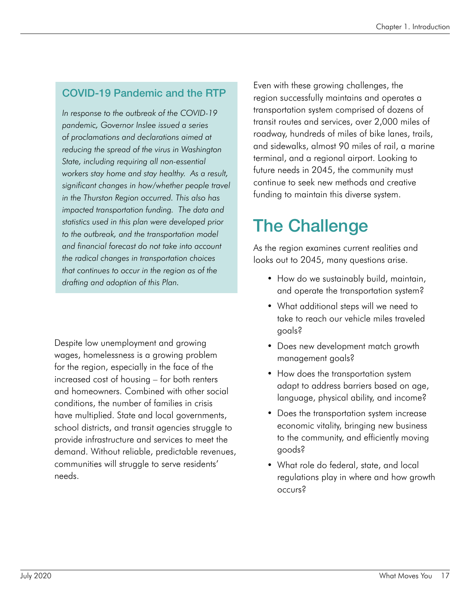#### COVID-19 Pandemic and the RTP

*In response to the outbreak of the COVID-19 pandemic, Governor Inslee issued a series of proclamations and declarations aimed at reducing the spread of the virus in Washington State, including requiring all non-essential workers stay home and stay healthy. As a result, significant changes in how/whether people travel in the Thurston Region occurred. This also has impacted transportation funding. The data and statistics used in this plan were developed prior to the outbreak, and the transportation model and financial forecast do not take into account the radical changes in transportation choices that continues to occur in the region as of the drafting and adoption of this Plan.*

Despite low unemployment and growing wages, homelessness is a growing problem for the region, especially in the face of the increased cost of housing – for both renters and homeowners. Combined with other social conditions, the number of families in crisis have multiplied. State and local governments, school districts, and transit agencies struggle to provide infrastructure and services to meet the demand. Without reliable, predictable revenues, communities will struggle to serve residents' needs.

Even with these growing challenges, the region successfully maintains and operates a transportation system comprised of dozens of transit routes and services, over 2,000 miles of roadway, hundreds of miles of bike lanes, trails, and sidewalks, almost 90 miles of rail, a marine terminal, and a regional airport. Looking to future needs in 2045, the community must continue to seek new methods and creative funding to maintain this diverse system.

#### The Challenge

As the region examines current realities and looks out to 2045, many questions arise.

- How do we sustainably build, maintain, and operate the transportation system?
- What additional steps will we need to take to reach our vehicle miles traveled goals?
- Does new development match growth management goals?
- How does the transportation system adapt to address barriers based on age, language, physical ability, and income?
- Does the transportation system increase economic vitality, bringing new business to the community, and efficiently moving goods?
- What role do federal, state, and local regulations play in where and how growth occurs?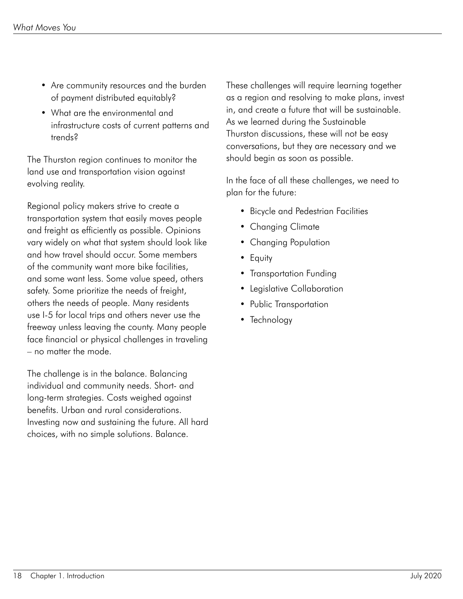- Are community resources and the burden of payment distributed equitably?
- What are the environmental and infrastructure costs of current patterns and trends?

The Thurston region continues to monitor the land use and transportation vision against evolving reality.

Regional policy makers strive to create a transportation system that easily moves people and freight as efficiently as possible. Opinions vary widely on what that system should look like and how travel should occur. Some members of the community want more bike facilities, and some want less. Some value speed, others safety. Some prioritize the needs of freight, others the needs of people. Many residents use I-5 for local trips and others never use the freeway unless leaving the county. Many people face financial or physical challenges in traveling – no matter the mode.

The challenge is in the balance. Balancing individual and community needs. Short- and long-term strategies. Costs weighed against benefits. Urban and rural considerations. Investing now and sustaining the future. All hard choices, with no simple solutions. Balance.

These challenges will require learning together as a region and resolving to make plans, invest in, and create a future that will be sustainable. As we learned during the Sustainable Thurston discussions, these will not be easy conversations, but they are necessary and we should begin as soon as possible.

In the face of all these challenges, we need to plan for the future:

- Bicycle and Pedestrian Facilities
- Changing Climate
- Changing Population
- Equity
- Transportation Funding
- Legislative Collaboration
- Public Transportation
- Technology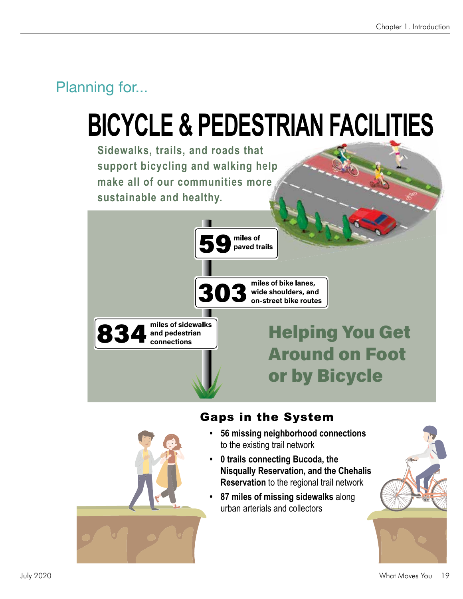## **BICYCLE & PEDESTRIAN FACILITIES**

**Sidewalks, trails, and roads that support bicycling and walking help elp re make all of our communities more sustainable and healthy.** 



#### Gaps in the System

- **56 missing neighborhood connections** to the existing trail network
- **0 trails connecting Bucoda, the Nisqually Reservation, and the Chehalis Reservation** to the regional trail network
- **87 miles of missing sidewalks** along urban arterials and collectors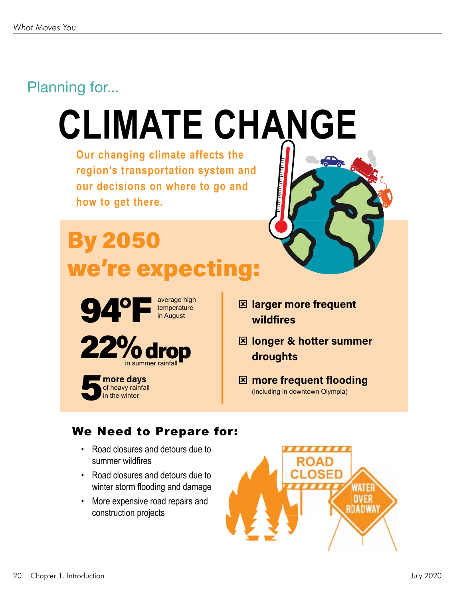## **CLIMATE CHANGE**

**Our changing climate affects the region's transportation system and our decisions on where to go and how to get there.** 

### **By 2050** we're expecting:



temperature in August



**I** more davs of heavy rainfall<br>in the winter

- **E** larger more frequent wildfires
- **E longer & hotter summer** droughts
- **E** more frequent flooding (including in downtown Olympia)

#### We Need to Prepare for:

- Road closures and detours due to summer wildfires
- Road closures and detours due to winter storm flooding and damage
- More expensive road repairs and construction projects

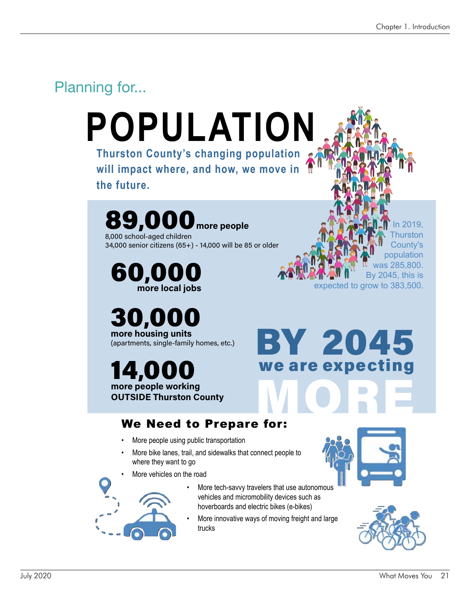In 2019, Thurston County's population was 285,800. By 2045, this is

#### Planning for...

### **Thurston County's changing population POPULATION**

**will impact where, and how, we move in the future.** 

#### 89,000 more people8,000 school-aged children

34,000 senior citizens (65+) - 14,000 will be 85 or older

60,000 more local jobs

30,000 more housing units (apartments, single-family homes, etc.)

14,00 more people working OUTSIDE Thurston County

## BY 2045 we are expecting MORE

#### We Need to Prepare for:

- More people using public transportation
- More bike lanes, trail, and sidewalks that connect people to where they want to go

More vehicles on the road



- More tech-savvy travelers that use autonomous vehicles and micromobility devices such as hoverboards and electric bikes (e-bikes)
- More innovative ways of moving freight and large trucks



expected to grow to 383,500.

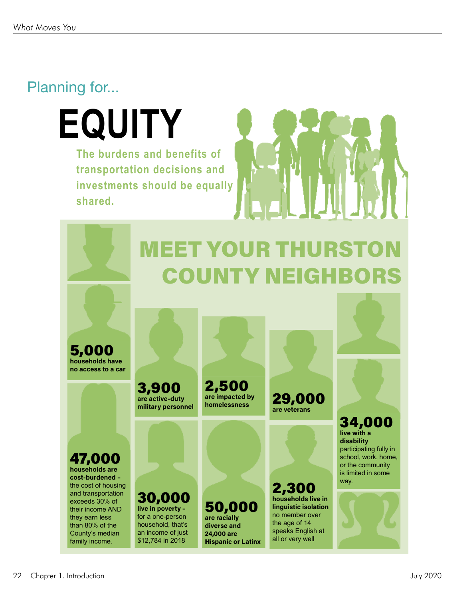**EQUITY The burdens and benefits of transportation decisions and investments should be equally shared.**



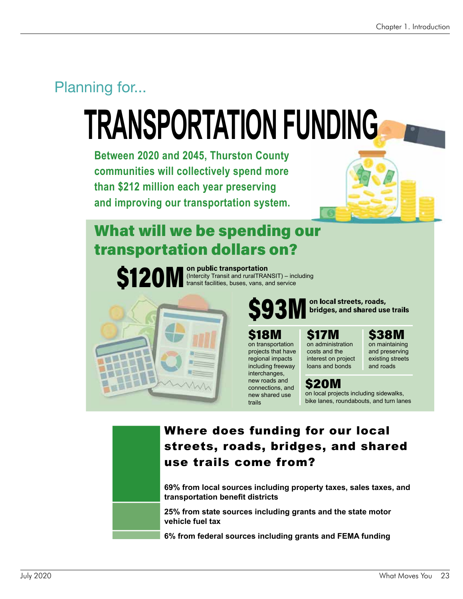## **TRANSPORTATION FUNDING**

**Between 2020 and 2045, Thurston County communities will collectively spend more than \$212 million each year preserving and improving our transportation system.**



#### What will we be spending our **transportation dollars on?**



120 M <sup>on public transportation</sup><br>transit facilities, buses, vans, and service (Intercity Transit and ruralTRANSIT) – including



on transportation projects that have regional impacts including freeway interchanges, new roads and connections, and new shared use

trails

\$93M <sup>on local streets, roads,</sup><br>\$93M bridges, and shared use trails

#### \$18M

\$17M on administration costs and the interest on project loans and bonds

\$38M

on maintaining and preserving existing streets and roads

#### **\$20M**

on local projects including sidewalks, bike lanes, roundabouts, and turn lanes



#### Where does funding for our local streets, roads, bridges, and shared use trails come from?

**69% from local sources including property taxes, sales taxes, and transportation benefit districts** 

**25% from state sources including grants and the state motor vehicle fuel tax** 

**6% from federal sources including grants and FEMA funding**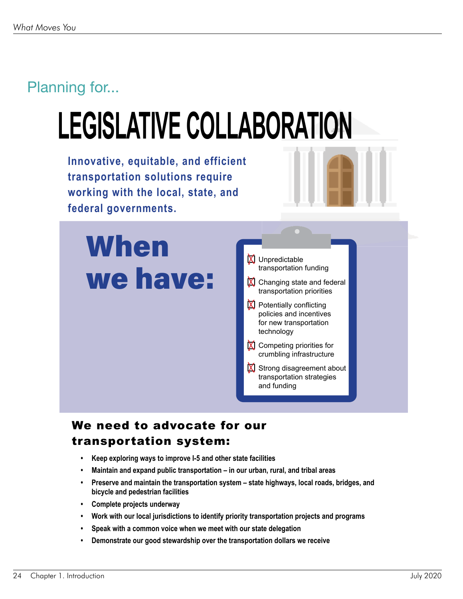## **LEGISLATIVE COLLABORATION**

**Innovative, equitable, and efficient transportation solutions require working with the local, state, and federal governments.**



### **When** we have:



#### We need to advocate for our transportation system:

- **Keep exploring ways to improve I-5 and other state facilities**
- **Maintain and expand public transportation in our urban, rural, and tribal areas**
- **Preserve and maintain the transportation system state highways, local roads, bridges, and bicycle and pedestrian facilities**
- **Complete projects underway**
- **Work with our local jurisdictions to identify priority transportation projects and programs**
- **Speak with a common voice when we meet with our state delegation**
- **Demonstrate our good stewardship over the transportation dollars we receive**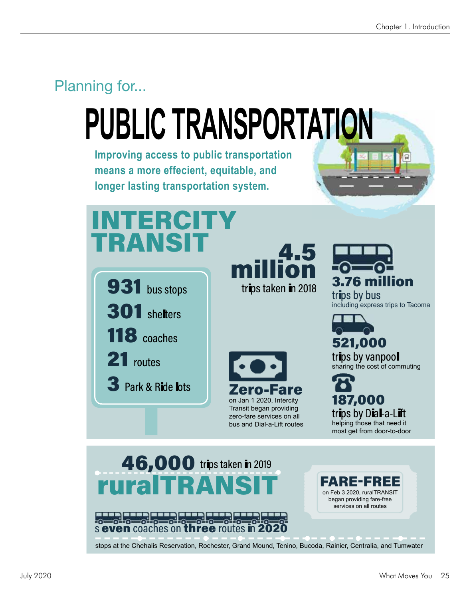# **PUBLIC TRANSPORTATION**

**Improving access to public transportation means a more effecient, equitable, and longer lasting transportation system.**



### 46,000 trips taken in 2019 ruralTRA

s even coaches even coaches on three routes  $\overline{\mathsf{m}}$  2020

stops at the Chehalis Reservation, Rochester, Grand Mound, Tenino, Bucoda, Rainier, Centralia, and Tumwater

-

ARE-F

on Feb 3 2020, ruralTRANSIT began providing fare-free services on all routes

**REE**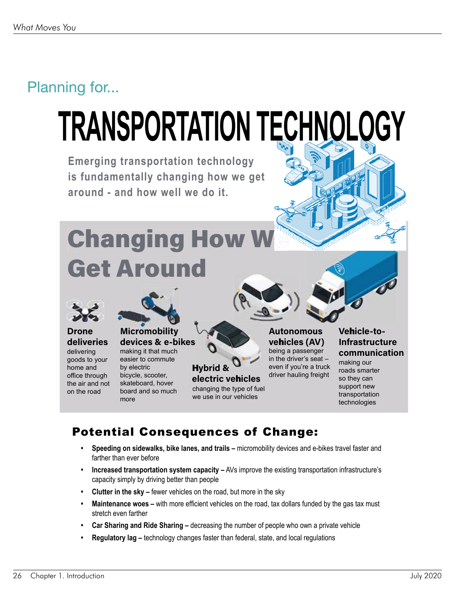# **TRANSPORTATION TECHNOLOGY**

**Emerging transportation technology is fundamentally changing how we get around - and how well we do it.**

### **Changing How W Get Around**



#### **Drone** deliveries

delivering goods to your home and office through the air and not on the road



#### **Micromobility** devices & e-bikes

making it that much easier to commute by electric bicycle, scooter, skateboard, hover board and so much more



we use in our vehicles

ve**h**icles (AV) being a passenger in the driver's seat – even if you're a truck driver hauling freight

**Autonomous** 

#### Vehicle-to-**Infrastructure** communication

making our roads smarter so they can support new transportation technologies

#### Potential Consequences of Change:

- **Speeding on sidewalks, bike lanes, and trails –** micromobility devices and e-bikes travel faster and farther than ever before
- **Increased transportation system capacity –** AVs improve the existing transportation infrastructure's capacity simply by driving better than people
- **Clutter in the sky –** fewer vehicles on the road, but more in the sky
- **Maintenance woes –** with more efficient vehicles on the road, tax dollars funded by the gas tax must stretch even farther
- **Car Sharing and Ride Sharing –** decreasing the number of people who own a private vehicle
- **Regulatory lag –** technology changes faster than federal, state, and local regulations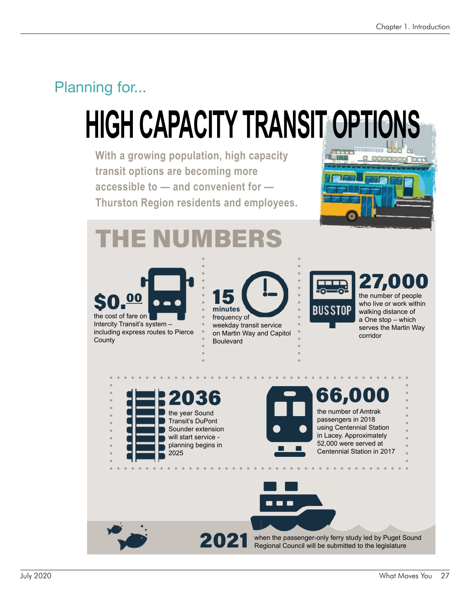## **HIGH CAPACITY TRANSIT OPTIONS**

**With a growing population, high capacity transit options are becoming more accessible to — and convenient for — Thurston Region residents and employees.**